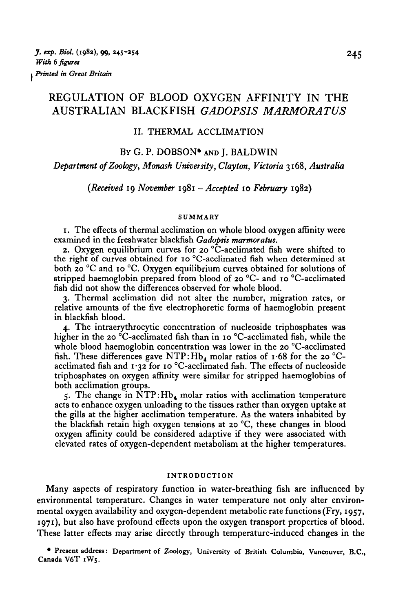# REGULATION OF BLOOD OXYGEN AFFINITY IN THE AUSTRALIAN BLACKFISH *GADOPSIS MARMORATUS*

### II. THERMAL ACCLIMATION

### BY G. P. DOBSON\* AND J. BALDWIN

*Department of Zoology, Monash University, Clayton, Victoria* 3168, *Australia*

*(Received* 19 *November* 1981 *-Accepted* 10 *February* 1982)

#### **SUMMARY**

1. The effects of thermal acclimation on whole blood oxygen affinity were examined in the freshwater blackfish *Gadopsis marmoratus.*

2. Oxygen equilibrium curves for 20  $\mathrm{^{\circ}C}$ -acclimated fish were shifted to the right of curves obtained for 10 °C-acclimated fish when determined at both 20 °C and 10 °C. Oxygen equilibrium curves obtained for solutions of stripped haemoglobin prepared from blood of 20 °C- and 10 °C-acclimated fish did not show the differences observed for whole blood.

3. Thermal acclimation did not alter the number, migration rates, or relative amounts of the five electrophoretic forms of haemoglobin present in blackfish blood.

4. The intraerythrocytic concentration of nucleoside triphosphates was higher in the 20 °C-acclimated fish than in 10 °C-acclimated fish, while the whole blood haemoglobin concentration was lower in the 20 °C-acclimated fish. These differences gave NTP:  $Hb_4$  molar ratios of 1.68 for the 20 °Cacclimated fish and  $1.32$  for 10 °C-acclimated fish. The effects of nucleoside triphosphates on oxygen affinity were similar for stripped haemoglobins of both acclimation groups.

5. The change in  $\overline{NTP}$ : Hb<sub>4</sub> molar ratios with acclimation temperature acts to enhance oxygen unloading to the tissues rather than oxygen uptake at the gills at the higher acclimation temperature. As the waters inhabited by the blackfish retain high oxygen tensions at 20 °C, these changes in blood oxygen affinity could be considered adaptive if they were associated with elevated rates of oxygen-dependent metabolism at the higher temperatures.

#### **INTRODUCTION**

Many aspects of respiratory function in water-breathing fish are influenced by environmental temperature. Changes in water temperature not only alter environmental oxygen availability and oxygen-dependent metabolic rate functions (Fry, 1957, 1971), but also have profound effects upon the oxygen transport properties of blood. These latter effects may arise directly through temperature-induced changes in the

**• Present address: Department of Zoology, University of British Columbia, Vancouver, B.C., Canada V6T 1W5.**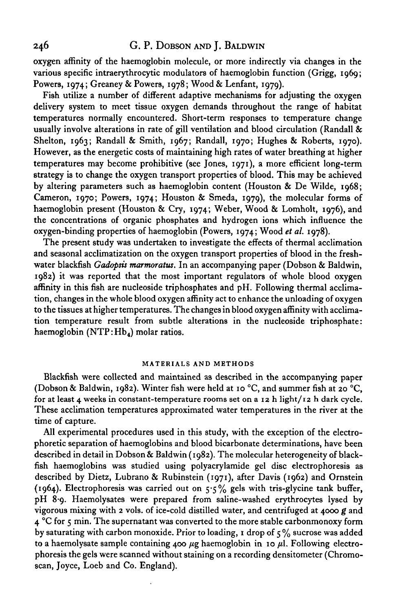# 246 G. P. DOBSON AND J. BALDWIN

oxygen affinity of the haemoglobin molecule, or more indirectly via changes in the various specific intraerythrocytic modulators of haemoglobin function (Grigg, 1969; Powers, 1974; Greaney & Powers, 1978; Wood & Lenfant, 1979).

Fish utilize a number of different adaptive mechanisms for adjusting the oxygen delivery system to meet tissue oxygen demands throughout the range of habitat temperatures normally encountered. Short-term responses to temperature change usually involve alterations in rate of gill ventilation and blood circulation (Randall & Shelton, 1963; Randall & Smith, 1967; Randall, 1970; Hughes & Roberts, 1970). However, as the energetic costs of maintaining high rates of water breathing at higher temperatures may become prohibitive (see Jones, 1971), a more efficient long-term strategy is to change the oxygen transport properties of blood. This may be achieved by altering parameters such as haemoglobin content (Houston & De Wilde, 1968; Cameron, 1970; Powers, 1974; Houston & Smeda, 1979), the molecular forms of haemoglobin present (Houston & Cry, 1974; Weber, Wood & Lomholt, 1976), and the concentrations of organic phosphates and hydrogen ions which influence the oxygen-binding properties of haemoglobin (Powers, 1974; Wood *et al.* 1978).

The present study was undertaken to investigate the effects of thermal acclimation and seasonal acclimatization on the oxygen transport properties of blood in the freshwater blackfish *Gadopsis marmoratus.* In an accompanying paper (Dobson & Baldwin, 1982) it was reported that the most important regulators of whole blood oxygen affinity in this fish are nucleoside triphosphates and pH. Following thermal acclimation, changes in the whole blood oxygen affinity act to enhance the unloading of oxygen to the tissues at higher temperatures. The changes in blood oxygen affinity with acclimation temperature result from subtle alterations in the nucleoside triphosphate: haemoglobin (NTP: Hb<sub>4</sub>) molar ratios.

#### **MATERIALS AND METHODS**

Blackfish were collected and maintained as described in the accompanying paper (Dobson & Baldwin, 1982). Winter fish were held at 10 °C, and summer fish at 20 °C, for at least 4 weeks in constant-temperature rooms set on a  $12$  h light/ $12$  h dark cycle. These acclimation temperatures approximated water temperatures in the river at the time of capture.

All experimental procedures used in this study, with the exception of the electrophoretic separation of haemoglobins and blood bicarbonate determinations, have been described in detail in Dobson & Baldwin (1982). The molecular heterogeneity of blackfish haemoglobins was studied using polyacrylamide gel disc electrophoresis as described by Dietz, Lubrano & Rubinstein (1971), after Davis (1962) and Ornstein (1964). Electrophoresis was carried out on  $5.5\%$  gels with tris-glycine tank buffer, pH 8-9. Haemolysates were prepared from saline-washed erythrocytes lysed by vigorous mixing with 2 vols. of ice-cold distilled water, and centrifuged at 4000 *g* and 4 °C for 5 min. The supernatant was converted to the more stable carbonmonoxy form by saturating with carbon monoxide. Prior to loading, 1 drop of  $\zeta\%$  sucrose was added to a haemolysate sample containing 400  $\mu$ g haemoglobin in 10  $\mu$ l. Following electrophoresis the gels were scanned without staining on a recording densitometer (Chromoscan, Joyce, Loeb and Co. England).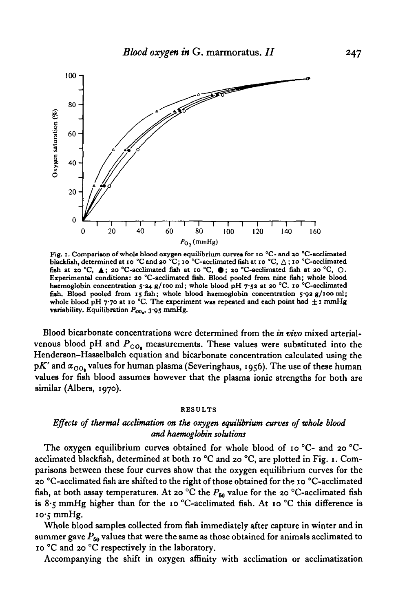

**Fig. 1. Comparison of whole blood oxygen equilibrium curves for 10 °C- and ao "C-acclimated blackfish, determinedat 10 °C and20 °C; 10 oC-acclimatedfiah at 10 "C, A; i ° °C-acclimated** fish at 20 °C, A; 20 °C-acclimated fish at 10 °C,  $\bullet$ ; 20 °C-acclimated fish at 20 °C, O. **Experimental conditions: 20 °C-acclimated fish. Blood pooled from nine fish; whole blood haemoglobin concentration 5- a+ g/100 ml; whole blood pH 7-53 at ao °C. 10 °C-acclimated fish. Blood pooled from 15 fish; whole blood haemoglobin concentration 5-92 g/100 ml;** whole blood pH 7.70 at 10 °C. The experiment was repeated and each point had  $\pm 1$  mmHg **variability. Equilibration** *Poo,,* **3 "95 mmHg.**

Blood bicarbonate concentrations were determined from the *in vivo* mixed arterialvenous blood pH and  $P_{CO_4}$  measurements. These values were substituted into the Henderson-Hasselbalch equation and bicarbonate concentration calculated using the  $pK'$  and  $\alpha_{\rm OO_2}$  values for human plasma (Severinghaus, 1956). The use of these human values for fish blood assumes however that the plasma ionic strengths for both are similar (Albers, 1970).

#### **RESULTS**

### *Effects of thermal acclimation on the oxygen equilibrium curves of whole blood and haemoglobin solutions*

The oxygen equilibrium curves obtained for whole blood of 10 °C- and 20 °Cacclimated blackfish, determined at both 10 °C and 20 °C, are plotted in Fig. 1. Comparisons between these four curves show that the oxygen equilibrium curves for the 20 °C-acclimated fish are shifted to the right of those obtained for the 10 °C-acclimated fish, at both assay temperatures. At 20 °C the  $P_{60}$  value for the 20 °C-acclimated fish is 8.5 mmHg higher than for the 10 °C-acclimated fish. At 10 °C this difference is  $10 \cdot 5$  mmHg.

Whole blood samples collected from fish immediately after capture in winter and in summer gave  $P_{50}$  values that were the same as those obtained for animals acclimated to 10 °C and 20 °C respectively in the laboratory.

Accompanying the shift in oxygen affinity with acclimation or acclimatization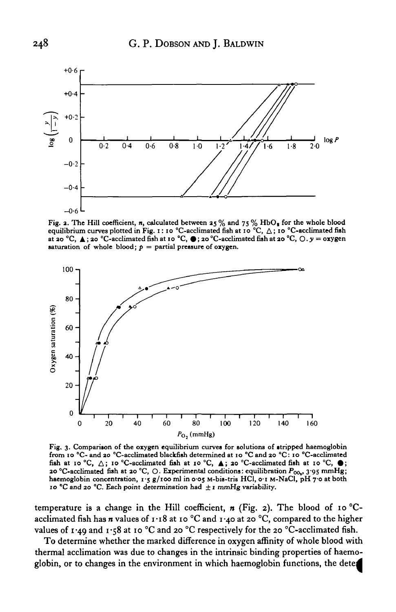

Fig. 2. The Hill coefficient, *n*, calculated between 25% and 75% HbO<sub>2</sub> for the whole blood equilibrium curves plotted in Fig. 1:10 °C-acclimated fish at 10 °C,  $\triangle$ ; 10 °C-acclimated fish **at 20 °C, ▲; 20 °C-acclimated fish at 10 °C, ●; 20 °C-acclimated fish at 20 °C, ○.**  $y =$  **oxygen saturation of whole blood;**  $p =$  partial pressure of oxygen.



**Fig, 3. Comparison of the oxygen equilibrium curves for solutions of stripped haemoglobin from 10 °C- and 20 °C-acclimated blackfish determined at 10 °C and 20 °C: 10 °C-acclimated** fish at 10 °C,  $\triangle$ ; 10 °C-acclimated fish at 10 °C,  $\triangle$ ; 20 °C-acclimated fish at 10 °C,  $\bullet$ ; 20 °C-acclimated fish at 20 °C, O. Experimental conditions: equilibration  $P_{00}$ , 3.95 mmHg; **haemoglobin concentration, 1-5 g/100 ml in 0-05 M-bis-tris HC1, o-i M-NaCl, pH y o at both** 10 °C and 20 °C. Each point determination had  $\pm$  1 mmHg variability.

temperature is a change in the Hill coefficient,  $n$  (Fig. 2). The blood of 10 °Cacclimated fish has  $n$  values of  $1.18$  at 10 °C and  $1.40$  at 20 °C, compared to the higher values of 1.49 and 1.58 at 10 °C and 20 °C respectively for the 20 °C-acclimated fish.

To determine whether the marked difference in oxygen affinity of whole blood with thermal acclimation was due to changes in the intrinsic binding properties of haemoglobin, or to changes in the environment in which haemoglobin functions, the deter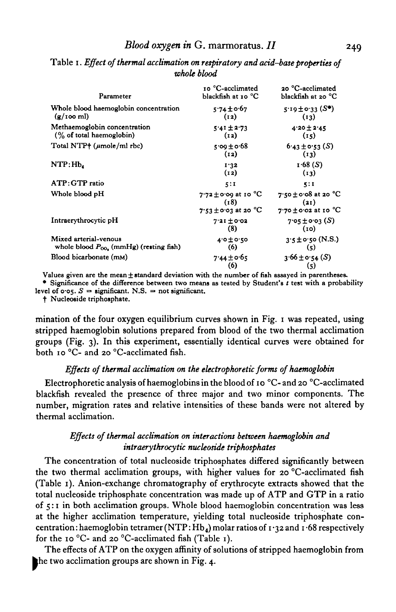| Parameter                                                           | 10 °C-acclimated<br>blackfish at 10 °C                       | 20 °C-acclimated<br>blackfish at 20 °C                                           |
|---------------------------------------------------------------------|--------------------------------------------------------------|----------------------------------------------------------------------------------|
| Whole blood haemoglobin concentration<br>$(g/100 \text{ ml})$       | $5.74 \pm 0.67$<br>(12)                                      | $5.19 \pm 0.33$ (S*)<br>(13)                                                     |
| Methaemoglobin concentration<br>(% of total haemoglobin)            | $5.41 \pm 2.73$<br>(12)                                      | $4.20 \pm 2.45$<br>(15)                                                          |
| Total NTP+ $(\mu$ mole/ml rbc)                                      | $5.00 \pm 0.68$<br>(12)                                      | $6.43 \pm 0.53$ (S)<br>(13)                                                      |
| NTP:mb                                                              | 1.32<br>(12)                                                 | 1.68(S)<br>(13)                                                                  |
| ATP: GTP ratio                                                      | 5:1                                                          | 5:1                                                                              |
| Whole blood pH                                                      | $7.72 \pm 0.09$ at 10 °C<br>(18)<br>$7.53 \pm 0.03$ at 20 °C | 7:50 $\pm$ 0:08 at 20 $^{\circ}$ C<br>(21)<br>$7.70 \pm 0.02$ at 10 $^{\circ}$ C |
| Intraerythrocytic pH                                                | $7.21 \pm 0.02$<br>(8)                                       | $7.05 \pm 0.03$ (S)<br>(i)                                                       |
| Mixed arterial-venous<br>whole blood $P_{00}$ (mmHg) (resting fish) | $4.0 \pm 0.50$<br>(6)                                        | $3.5 \pm 0.50$ (N.S.)<br>$\left( 5 \right)$                                      |
| Blood bicarbonate (mM)                                              | $7.44 \pm 0.65$<br>(6)                                       | $3.66 \pm 0.54$ (S)<br>$\left( 5 \right)$                                        |

Table i. *Effect of thermal acclimation on respiratory and acid-base properties of whole blood*

**(S) Values given are the mean ± standard deviation with the number of fish assayed in parentheses. • Significance of the difference between two means as tested by Student's** *t* **test with a probability** level of  $\sigma \circ s$ ,  $S =$  significant, N.S. = not significant.

**f Nucleoside triphosphate.**

mination of the four oxygen equilibrium curves shown in Fig. 1 was repeated, using stripped haemoglobin solutions prepared from blood of the two thermal acclimation groups (Fig. 3). In this experiment, essentially identical curves were obtained for both 10 °C- and 20 °C-acclimated fish.

### *Effects of thermal acclimation on the electrophoretic forms of haemoglobin*

Electrophoretic analysis of haemoglobins in the blood of 10 °C- and 20 °C-acclimated blackfish revealed the presence of three major and two minor components. The number, migration rates and relative intensities of these bands were not altered by thermal acclimation.

## *Effects of thermal acclimation on interactions between haemoglobin and intraerythrocytic nucleoside triphosphates*

The concentration of total nucleoside triphosphates differed significantly between the two thermal acclimation groups, with higher values for 20 °C-acclimated fish (Table 1). Anion-exchange chromatography of erythrocyte extracts showed that the total nucleoside triphosphate concentration was made up of ATP and GTP in a ratio of 5:1 in both acclimation groups. Whole blood haemoglobin concentration was less at the higher acclimation temperature, yielding total nucleoside triphosphate concentration : haemoglobin tetramer (NTP:  $Hb_4$ ) molar ratios of 1  $\cdot$ 32 and 1  $\cdot$  68 respectively for the 10 °C- and 20 °C-acclimated fish (Table 1).

The effects of ATP on the oxygen affinity of solutions of stripped haemoglobin from the two acclimation groups are shown in Fig. 4.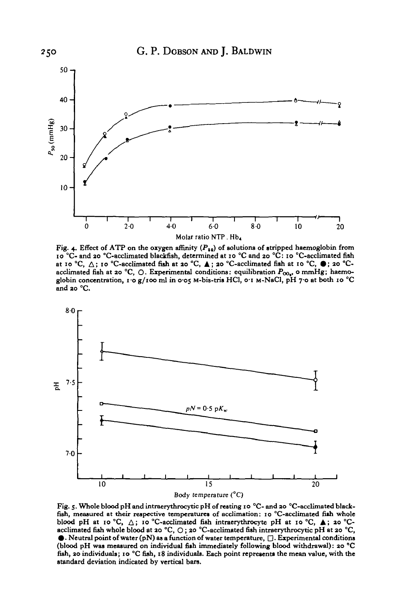

Fig. 4. Effect of ATP on the oxygen affinity  $(P_{10})$  of solutions of stripped haemoglobin from **io** <sup>°</sup>C- and 20 <sup>°</sup>C-acclimated blackfish, determined at 10 <sup>°</sup>C and 20 <sup>°</sup>C: 10 <sup>°</sup>C-acclimated fish at 10 <sup>°</sup>C,  $\triangle$ ; 10 <sup>°</sup>C-acclimated fish at 10 <sup>°</sup>C,  $\triangle$ ; 20 <sup>°</sup>Cacclimated fish at 20 °C, O. Experimental conditions: equilibration  $P_{00}$ , o mmHg; haemo**globin concentration, ro g/100 ml in 0-05 M-bis-tris HC1, o-i M-NaCl, pH 7-0 at both 10 °C and ao °C.**



Fig. 5. Whole blood pH and intraerythrocytic pH of resting 10 °C- and 20 °C-acclimated black-<br>fish, measured at their respective temperatures of acclimation: 10 °C-acclimated fish whole<br>blood pH at 10 °C,  $\triangle$ ; 10 °C-accl **fish, ao individuals; 10 °C fish, 18 individuals. Each point represents the mean value, with the standard deviation indicated by vertical bars.**

250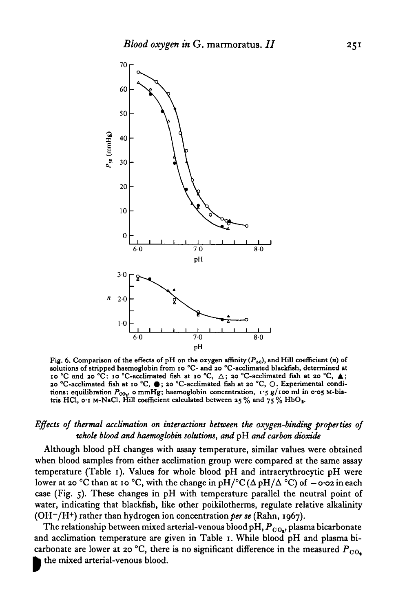

Fig. 6. Comparison of the effects of pH on the oxygen affinity ( $P_{50}$ ), and Hill coefficient (n) of **solutions of stripped haemoglobin from 10 °C- and 20 °C-acclimated blackfish, determined at 10 °C and 20 °C: 10 °C-acclimated fiih at 10 °C, A ; 20 °C-acclimated fish at 20 °C, A ;** 20 °C-acclimated fish at 10 °C, ●; 20 °C-acclimated fish at 20 °C, O. Experimental conditions: equilibration  $P_{00}$ , o mmHg; haemoglobin concentration, 1.5 g/100 ml in 0.05 M-bis**tris HC1, o-i M-NaCl. Hill coefficient calculated between 25 % and 75 % HbO,.**

### *Effects of thermal acclimation on interactions between the oxygen-binding properties of whole blood and haemoglobin solutions, and* pH *and carbon dioxide*

Although blood pH changes with assay temperature, similar values were obtained when blood samples from either acclimation group were compared at the same assay temperature (Table 1). Values for whole blood pH and intraerythrocytic pH were lower at 20 °C than at 10 °C, with the change in  $pH$ /°C( $\Delta pH/\Delta$ °C) of  $-$  0.02 in each case (Fig. 5). These changes in pH with temperature parallel the neutral point of water, indicating that blackfish, like other poikilotherms, regulate relative alkalinity (OH-/H+) rather than hydrogen ion concentration per se (Rahn, 1967).

The relationship between mixed arterial-venous blood pH,  $P_{CO_*}$ , plasma bicarbonate and acclimation temperature are given in Table 1. While blood pH and plasma bicarbonate are lower at 20 °C, there is no significant difference in the measured  $P_{CO_2}$ the mixed arterial-venous blood.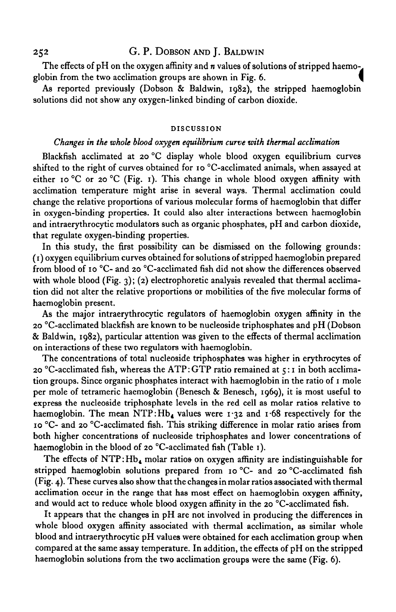### 252 G. P. DOBSON AND J. BALDWIN

The effects of pH on the oxygen affinity and *n* values of solutions of stripped haemo-. globin from the two acclimation groups are shown in Fig. 6.

As reported previously (Dobson & Baldwin, 1982), the stripped haemoglobin solutions did not show any oxygen-linked binding of carbon dioxide.

#### **DISCUSSION**

### *Changes in the whole blood oxygen equilibrium curve with thermal acclimation*

Blackfish acclimated at 20 °C display whole blood oxygen equilibrium curves shifted to the right of curves obtained for 10 °C-acclimated animals, when assayed at either 10 °C or 20 °C (Fig. 1). This change in whole blood oxygen affinity with acclimation temperature might arise in several ways. Thermal acclimation could change the relative proportions of various molecular forms of haemoglobin that differ in oxygen-binding properties. It could also alter interactions between haemoglobin and intraerythrocytic modulators such as organic phosphates, pH and carbon dioxide, that regulate oxygen-binding properties.

In this study, the first possibility can be dismissed on the following grounds: (1) oxygen equilibrium curves obtained for solutions of stripped haemoglobin prepared from blood of 10 °C- and 20 °C-acclimated fish did not show the differences observed with whole blood (Fig. 3); (2) electrophoretic analysis revealed that thermal acclimation did not alter the relative proportions or mobilities of the five molecular forms of haemoglobin present.

As the major intraerythrocytic regulators of haemoglobin oxygen affinity in the 20 °C-acclimated blackfish are known to be nucleoside triphosphates and pH (Dobson & Baldwin, 1982), particular attention was given to the effects of thermal acclimation on interactions of these two regulators with haemoglobin.

The concentrations of total nucleoside triphosphates was higher in erythrocytes of  $20$  °C-acclimated fish, whereas the ATP: GTP ratio remained at  $\varsigma$ :1 in both acclimation groups. Since organic phosphates interact with haemoglobin in the ratio of 1 mole per mole of tetrameric haemoglobin (Benesch & Benesch, 1969), it is most useful to express the nucleoside triphosphate levels in the red cell as molar ratios relative to haemoglobin. The mean NTP: Hb<sub>4</sub> values were  $1.32$  and  $1.68$  respectively for the 10 °C- and 20 °C-acclimated fish. This striking difference in molar ratio arises from both higher concentrations of nucleoside triphosphates and lower concentrations of haemoglobin in the blood of 20 °C-acclimated fish (Table 1).

The effects of  $NTP: Hb_4$  molar ratios on oxygen affinity are indistinguishable for stripped haemoglobin solutions prepared from 10 °C- and 20 °C-acclimated fish (Fig. 4). These curves also show that the changes in molar ratios associated with thermal acclimation occur in the range that has most effect on haemoglobin oxygen affinity, and would act to reduce whole blood oxygen affinity in the 20 °C-acclimated fish.

It appears that the changes in pH are not involved in producing the differences in whole blood oxygen affinity associated with thermal acclimation, as similar whole blood and intraerythrocytic pH values were obtained for each acclimation group when compared at the same assay temperature. In addition, the effects of pH on the stripped haemoglobin solutions from the two acclimation groups were the same (Fig. 6).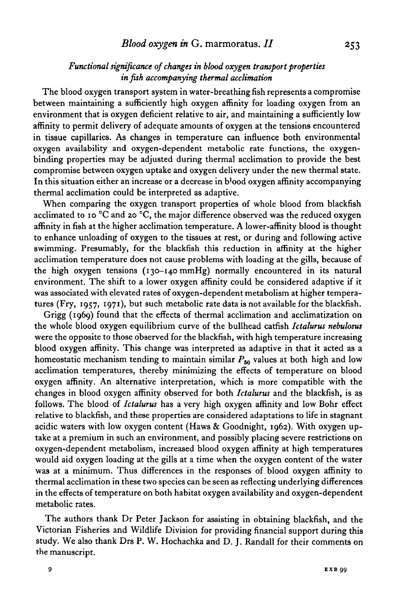## *Functional significance of changes in blood oxygen transport properties in fish accompanying thermal acclimation*

The blood oxygen transport system in water-breathing fish represents a compromise between maintaining a sufficiently high oxygen affinity for loading oxygen from an environment that is oxygen deficient relative to air, and maintaining a sufficiently low affinity to permit delivery of adequate amounts of oxygen at the tensions encountered in tissue capillaries. As changes in temperature can influence both environmental oxygen availability and oxygen-dependent metabolic rate functions, the oxygenbinding properties may be adjusted during thermal acclimation to provide the best compromise between oxygen uptake and oxygen delivery under the new thermal state. In this situation either an increase or a decrease in b'ood oxygen affinity accompanying thermal acclimation could be interpreted as adaptive.

When comparing the oxygen transport properties of whole blood from blackfish acclimated to 10 °C and 20 °C, the major difference observed was the reduced oxygen affinity in fish at the higher acclimation temperature. A lower-affinity blood is thought to enhance unloading of oxygen to the tissues at rest, or during and following active swimming. Presumably, for the blackfish this reduction in affinity at the higher acclimation temperature does not cause problems with loading at the gills, because of the high oxygen tensions (130-140 mmHg) normally encountered in its natural environment. The shift to a lower oxygen affinity could be considered adaptive if it was associated with elevated rates of oxygen-dependent metabolism at higher temperatures (Fry, 1957, 1971), but such metabolic rate data is not available for the blackfish.

Grigg (1969) found that the effects of thermal acclimation and acclimatization on the whole blood oxygen equilibrium curve of the bullhead catfish *Ictalurus nebulosus* were the opposite to those observed for the blackfish, with high temperature increasing blood oxygen affinity. This change was interpreted as adaptive in that it acted as a homeostatic mechanism tending to maintain similar  $P_{50}$  values at both high and low acclimation temperatures, thereby minimizing the effects of temperature on blood oxygen affinity. An alternative interpretation, which is more compatible with the changes in blood oxygen affinity observed for both *Ictalurus* and the blackfish, is as follows. The blood of *Ictalurus* has a very high oxygen affinity and low Bohr effect relative to blackfish, and these properties are considered adaptations to life in stagnant acidic waters with low oxygen content (Haws & Goodnight, 1962). With oxygen uptake at a premium in such an environment, and possibly placing severe restrictions on oxygen-dependent metabolism, increased blood oxygen affinity at high temperatures would aid oxygen loading at the gills at a time when the oxygen content of the water was at a minimum. Thus differences in the responses of blood oxygen affinity to thermal acclimation in these two species can be seen as reflecting underlying differences in the effects of temperature on both habitat oxygen availability and oxygen-dependent metabolic rates.

The authors thank Dr Peter Jackson for assisting in obtaining blackfish, and the Victorian Fisheries and Wildlife Division for providing financial support during this study. We also thank Drs P. W. Hochachka and D. J. Randall for their comments on the manuscript.